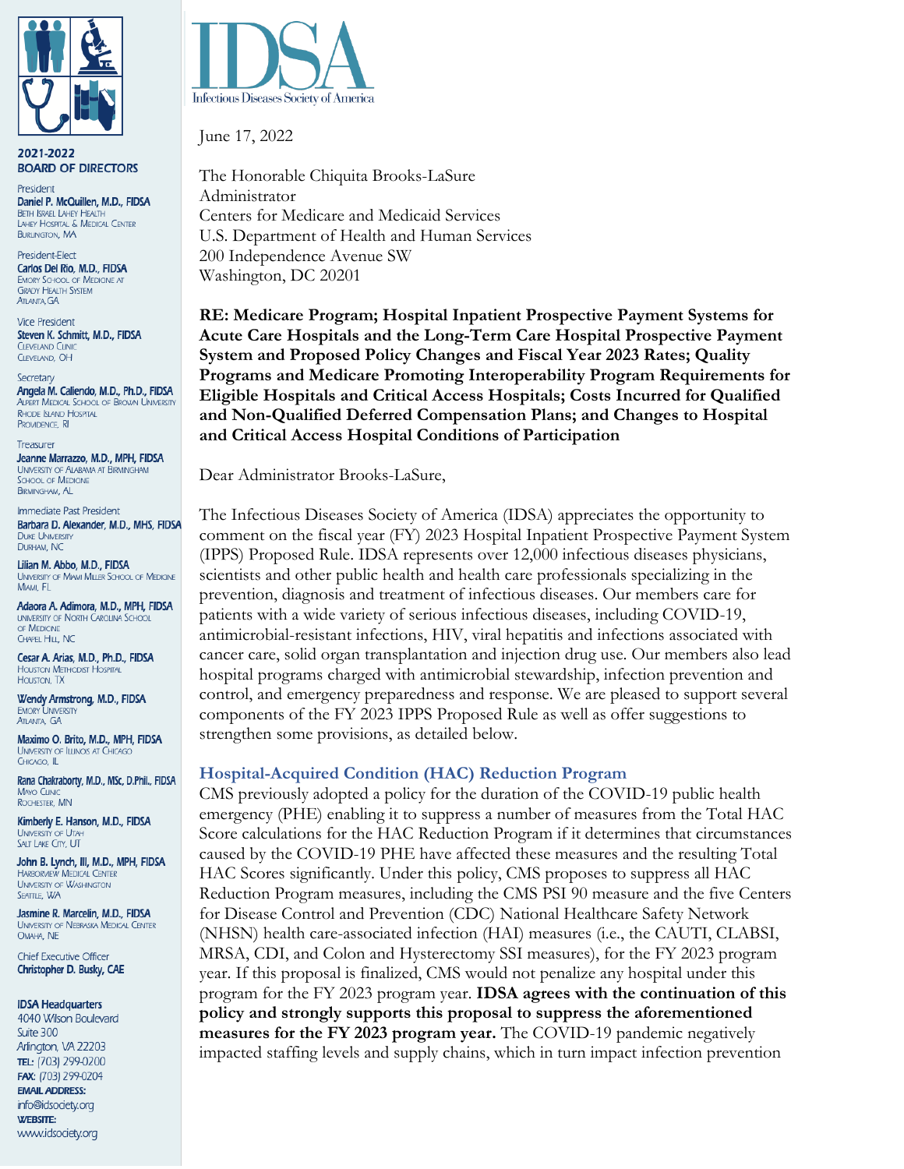

2021-2022 **BOARD OF DIRECTORS** 

President Daniel P. McQuillen, M.D., FIDSA **BETH ISRAEL LAHEY HEALTH** LAHEY HOSPITAL & MEDICAL CENTER **BURLINGTON, MA** 

President-Elect Carlos Del Rio, M.D., FIDSA **EMORY SCHOOL OF MEDICINE AT GRADY HEALTH SYSTEM ATLANTA, GA** 

**Vice President** Steven K. Schmitt, M.D., FIDSA **CLEVELAND CLINIC** CLEVELAND, OH

Secretary Angela M. Caliendo, M.D., Ph.D., FIDSA **ALPERT MEDICAL SCHOOL OF BROWN UNIVERSITY RHODE ISLAND HOSPITAL** PROVIDENCE, RI

Treasurer Jeanne Marrazzo, M.D., MPH, FIDSA **LINIVERSITY OF ALARAMA AT BIRMINGHAM** SCHOOL OF MEDICINE **BIRMINGHAM, AL** 

Immediate Past President Barbara D. Alexander, M.D., MHS, FIDSA **DUKE UNIVERSITY** DURHAM, NC

Lilian M. Abbo, M.D., FIDSA UNIVERSITY OF MIAMI MILLER SCHOOL OF MEDICINE MIAMI, FL

Adaora A. Adimora, M.D., MPH, FIDSA **UNIVERSITY OF NORTH CAROLINA SCHOOL** OF MEDICINE CHAPEL HILL, NC

Cesar A. Arias, M.D., Ph.D., FIDSA **HOUSTON METHODIST HOSPITAL HOUSTON** TX

Wendy Armstrong, M.D., FIDSA **EMORY UNIVERSITY ATLANTA, GA** 

Maximo O. Brito, M.D., MPH, FIDSA **UNIVERSITY OF ILLINOIS AT CHICAGO** CHICAGO, IL

Rana Chakraborty, M.D., MSc, D.Phil., FIDSA **MAYO CLINIC** ROCHESTER, MN

Kimberly E. Hanson, M.D., FIDSA **UNNERSITY OF UTAH** SALT LAKE CITY, UT

John B. Lynch, III, M.D., MPH, FIDSA **HARBORVIEW MEDICAL CENTER UNIVERSITY OF WASHINGTON** SEATTLE, WA

Jasmine R. Marcelin, M.D., FIDSA UNIVERSITY OF NEBRASKA MEDICAL CENTER OMAHA, NE

**Chief Executive Officer** Christopher D. Busky, CAE

#### **IDSA Headquarters**

4040 Wilson Boulevard Suite 300 Arlington, VA 22203 TEL: (703) 299-0200 FAX: (703) 299-0204 **EMAIL ADDRESS:** info@idsociety.org **WEBSITE:** www.idsociety.org



June 17, 2022

The Honorable Chiquita Brooks-LaSure Administrator Centers for Medicare and Medicaid Services U.S. Department of Health and Human Services 200 Independence Avenue SW Washington, DC 20201

**RE: Medicare Program; Hospital Inpatient Prospective Payment Systems for Acute Care Hospitals and the Long-Term Care Hospital Prospective Payment System and Proposed Policy Changes and Fiscal Year 2023 Rates; Quality Programs and Medicare Promoting Interoperability Program Requirements for Eligible Hospitals and Critical Access Hospitals; Costs Incurred for Qualified and Non-Qualified Deferred Compensation Plans; and Changes to Hospital and Critical Access Hospital Conditions of Participation**

Dear Administrator Brooks-LaSure,

The Infectious Diseases Society of America (IDSA) appreciates the opportunity to comment on the fiscal year (FY) 2023 Hospital Inpatient Prospective Payment System (IPPS) Proposed Rule. IDSA represents over 12,000 infectious diseases physicians, scientists and other public health and health care professionals specializing in the prevention, diagnosis and treatment of infectious diseases. Our members care for patients with a wide variety of serious infectious diseases, including COVID-19, antimicrobial-resistant infections, HIV, viral hepatitis and infections associated with cancer care, solid organ transplantation and injection drug use. Our members also lead hospital programs charged with antimicrobial stewardship, infection prevention and control, and emergency preparedness and response. We are pleased to support several components of the FY 2023 IPPS Proposed Rule as well as offer suggestions to strengthen some provisions, as detailed below.

#### **Hospital-Acquired Condition (HAC) Reduction Program**

CMS previously adopted a policy for the duration of the COVID-19 public health emergency (PHE) enabling it to suppress a number of measures from the Total HAC Score calculations for the HAC Reduction Program if it determines that circumstances caused by the COVID-19 PHE have affected these measures and the resulting Total HAC Scores significantly. Under this policy, CMS proposes to suppress all HAC Reduction Program measures, including the CMS PSI 90 measure and the five Centers for Disease Control and Prevention (CDC) National Healthcare Safety Network (NHSN) health care-associated infection (HAI) measures (i.e., the CAUTI, CLABSI, MRSA, CDI, and Colon and Hysterectomy SSI measures), for the FY 2023 program year. If this proposal is finalized, CMS would not penalize any hospital under this program for the FY 2023 program year. **IDSA agrees with the continuation of this policy and strongly supports this proposal to suppress the aforementioned measures for the FY 2023 program year.** The COVID-19 pandemic negatively impacted staffing levels and supply chains, which in turn impact infection prevention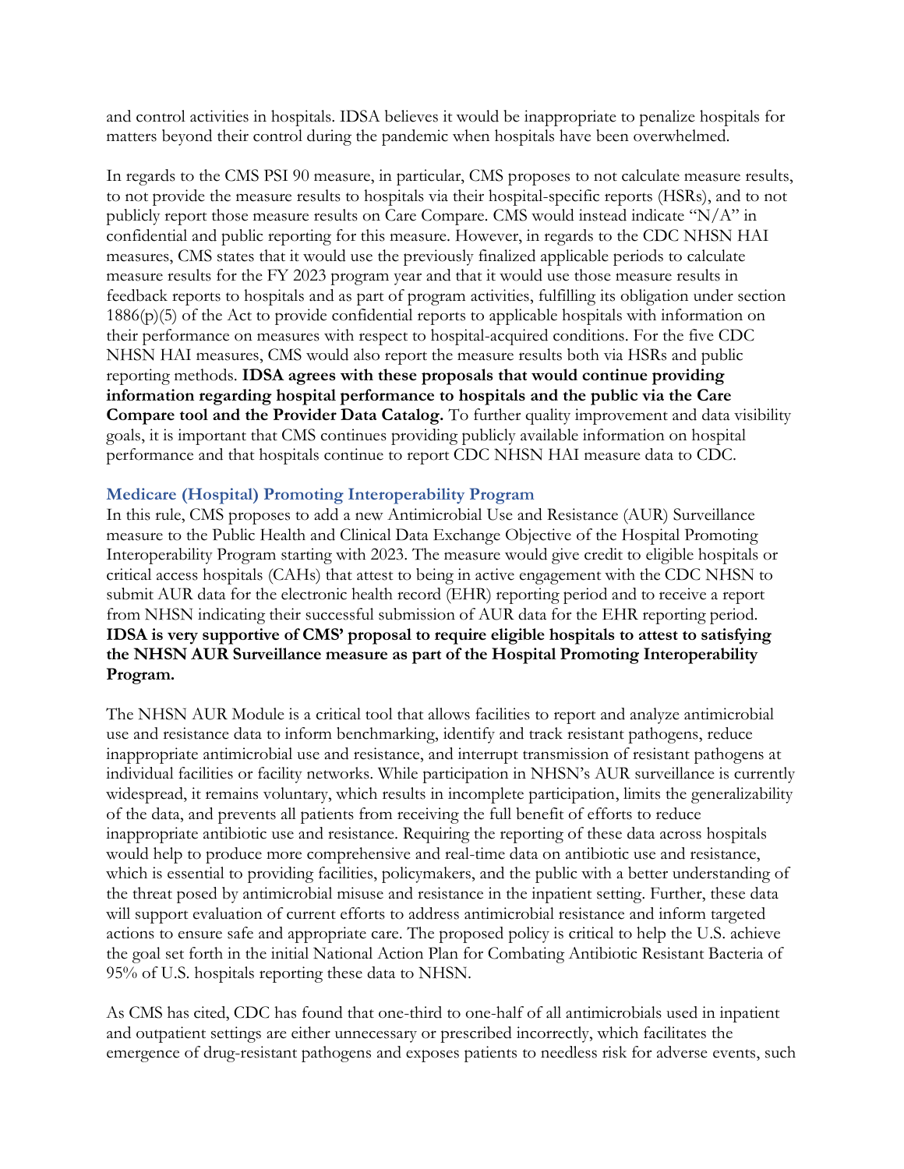and control activities in hospitals. IDSA believes it would be inappropriate to penalize hospitals for matters beyond their control during the pandemic when hospitals have been overwhelmed.

In regards to the CMS PSI 90 measure, in particular, CMS proposes to not calculate measure results, to not provide the measure results to hospitals via their hospital-specific reports (HSRs), and to not publicly report those measure results on Care Compare. CMS would instead indicate "N/A" in confidential and public reporting for this measure. However, in regards to the CDC NHSN HAI measures, CMS states that it would use the previously finalized applicable periods to calculate measure results for the FY 2023 program year and that it would use those measure results in feedback reports to hospitals and as part of program activities, fulfilling its obligation under section 1886(p)(5) of the Act to provide confidential reports to applicable hospitals with information on their performance on measures with respect to hospital-acquired conditions. For the five CDC NHSN HAI measures, CMS would also report the measure results both via HSRs and public reporting methods. **IDSA agrees with these proposals that would continue providing information regarding hospital performance to hospitals and the public via the Care Compare tool and the Provider Data Catalog.** To further quality improvement and data visibility goals, it is important that CMS continues providing publicly available information on hospital performance and that hospitals continue to report CDC NHSN HAI measure data to CDC.

# **Medicare (Hospital) Promoting Interoperability Program**

In this rule, CMS proposes to add a new Antimicrobial Use and Resistance (AUR) Surveillance measure to the Public Health and Clinical Data Exchange Objective of the Hospital Promoting Interoperability Program starting with 2023. The measure would give credit to eligible hospitals or critical access hospitals (CAHs) that attest to being in active engagement with the CDC NHSN to submit AUR data for the electronic health record (EHR) reporting period and to receive a report from NHSN indicating their successful submission of AUR data for the EHR reporting period. **IDSA is very supportive of CMS' proposal to require eligible hospitals to attest to satisfying the NHSN AUR Surveillance measure as part of the Hospital Promoting Interoperability Program.**

The NHSN AUR Module is a critical tool that allows facilities to report and analyze antimicrobial use and resistance data to inform benchmarking, identify and track resistant pathogens, reduce inappropriate antimicrobial use and resistance, and interrupt transmission of resistant pathogens at individual facilities or facility networks. While participation in NHSN's AUR surveillance is currently widespread, it remains voluntary, which results in incomplete participation, limits the generalizability of the data, and prevents all patients from receiving the full benefit of efforts to reduce inappropriate antibiotic use and resistance. Requiring the reporting of these data across hospitals would help to produce more comprehensive and real-time data on antibiotic use and resistance, which is essential to providing facilities, policymakers, and the public with a better understanding of the threat posed by antimicrobial misuse and resistance in the inpatient setting. Further, these data will support evaluation of current efforts to address antimicrobial resistance and inform targeted actions to ensure safe and appropriate care. The proposed policy is critical to help the U.S. achieve the goal set forth in the initial National Action Plan for Combating Antibiotic Resistant Bacteria of 95% of U.S. hospitals reporting these data to NHSN.

As CMS has cited, CDC has found that one-third to one-half of all antimicrobials used in inpatient and outpatient settings are either unnecessary or prescribed incorrectly, which facilitates the emergence of drug-resistant pathogens and exposes patients to needless risk for adverse events, such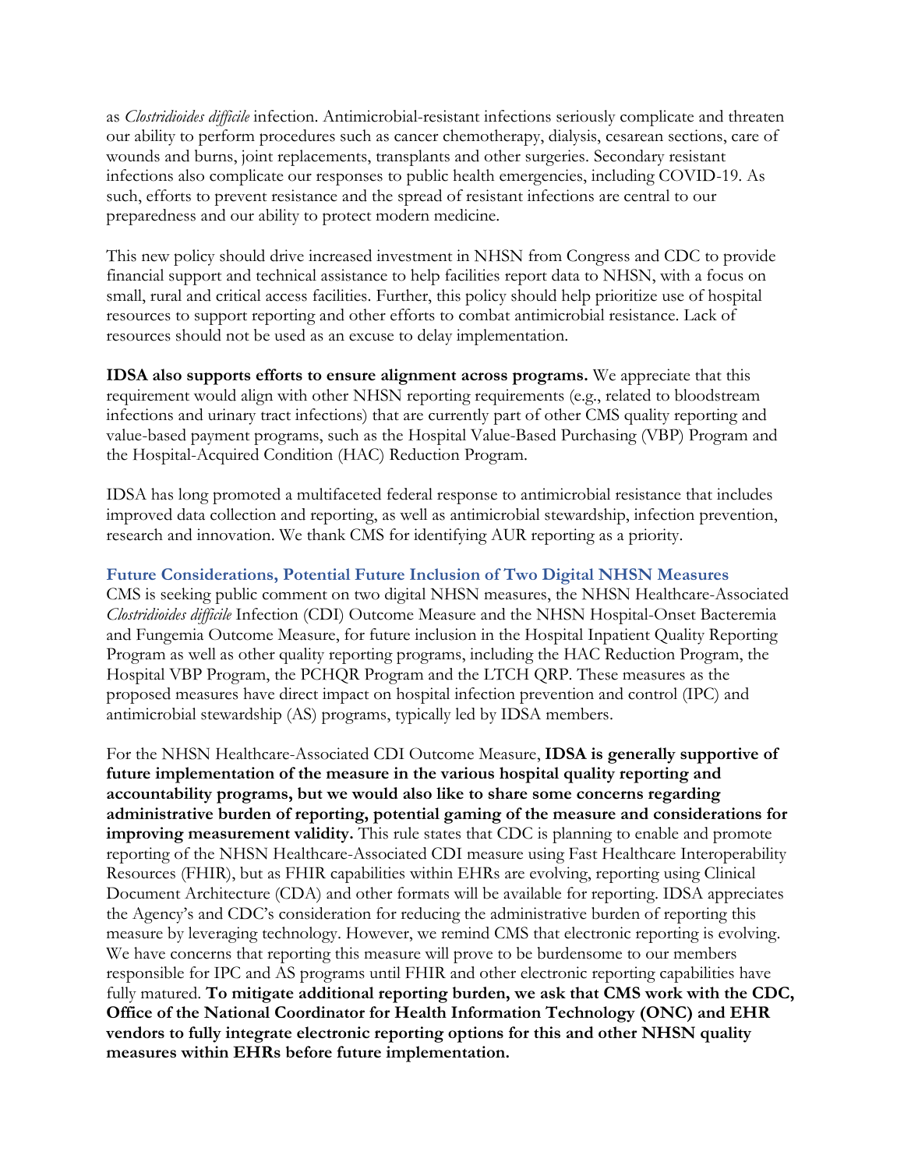as *Clostridioides difficile* infection. Antimicrobial-resistant infections seriously complicate and threaten our ability to perform procedures such as cancer chemotherapy, dialysis, cesarean sections, care of wounds and burns, joint replacements, transplants and other surgeries. Secondary resistant infections also complicate our responses to public health emergencies, including COVID-19. As such, efforts to prevent resistance and the spread of resistant infections are central to our preparedness and our ability to protect modern medicine.

This new policy should drive increased investment in NHSN from Congress and CDC to provide financial support and technical assistance to help facilities report data to NHSN, with a focus on small, rural and critical access facilities. Further, this policy should help prioritize use of hospital resources to support reporting and other efforts to combat antimicrobial resistance. Lack of resources should not be used as an excuse to delay implementation.

**IDSA also supports efforts to ensure alignment across programs.** We appreciate that this requirement would align with other NHSN reporting requirements (e.g., related to bloodstream infections and urinary tract infections) that are currently part of other CMS quality reporting and value-based payment programs, such as the Hospital Value-Based Purchasing (VBP) Program and the Hospital-Acquired Condition (HAC) Reduction Program.

IDSA has long promoted a multifaceted federal response to antimicrobial resistance that includes improved data collection and reporting, as well as antimicrobial stewardship, infection prevention, research and innovation. We thank CMS for identifying AUR reporting as a priority.

### **Future Considerations, Potential Future Inclusion of Two Digital NHSN Measures**

CMS is seeking public comment on two digital NHSN measures, the NHSN Healthcare-Associated *Clostridioides difficile* Infection (CDI) Outcome Measure and the NHSN Hospital-Onset Bacteremia and Fungemia Outcome Measure, for future inclusion in the Hospital Inpatient Quality Reporting Program as well as other quality reporting programs, including the HAC Reduction Program, the Hospital VBP Program, the PCHQR Program and the LTCH QRP. These measures as the proposed measures have direct impact on hospital infection prevention and control (IPC) and antimicrobial stewardship (AS) programs, typically led by IDSA members.

For the NHSN Healthcare-Associated CDI Outcome Measure, **IDSA is generally supportive of future implementation of the measure in the various hospital quality reporting and accountability programs, but we would also like to share some concerns regarding administrative burden of reporting, potential gaming of the measure and considerations for improving measurement validity.** This rule states that CDC is planning to enable and promote reporting of the NHSN Healthcare-Associated CDI measure using Fast Healthcare Interoperability Resources (FHIR), but as FHIR capabilities within EHRs are evolving, reporting using Clinical Document Architecture (CDA) and other formats will be available for reporting. IDSA appreciates the Agency's and CDC's consideration for reducing the administrative burden of reporting this measure by leveraging technology. However, we remind CMS that electronic reporting is evolving. We have concerns that reporting this measure will prove to be burdensome to our members responsible for IPC and AS programs until FHIR and other electronic reporting capabilities have fully matured. **To mitigate additional reporting burden, we ask that CMS work with the CDC, Office of the National Coordinator for Health Information Technology (ONC) and EHR vendors to fully integrate electronic reporting options for this and other NHSN quality measures within EHRs before future implementation.**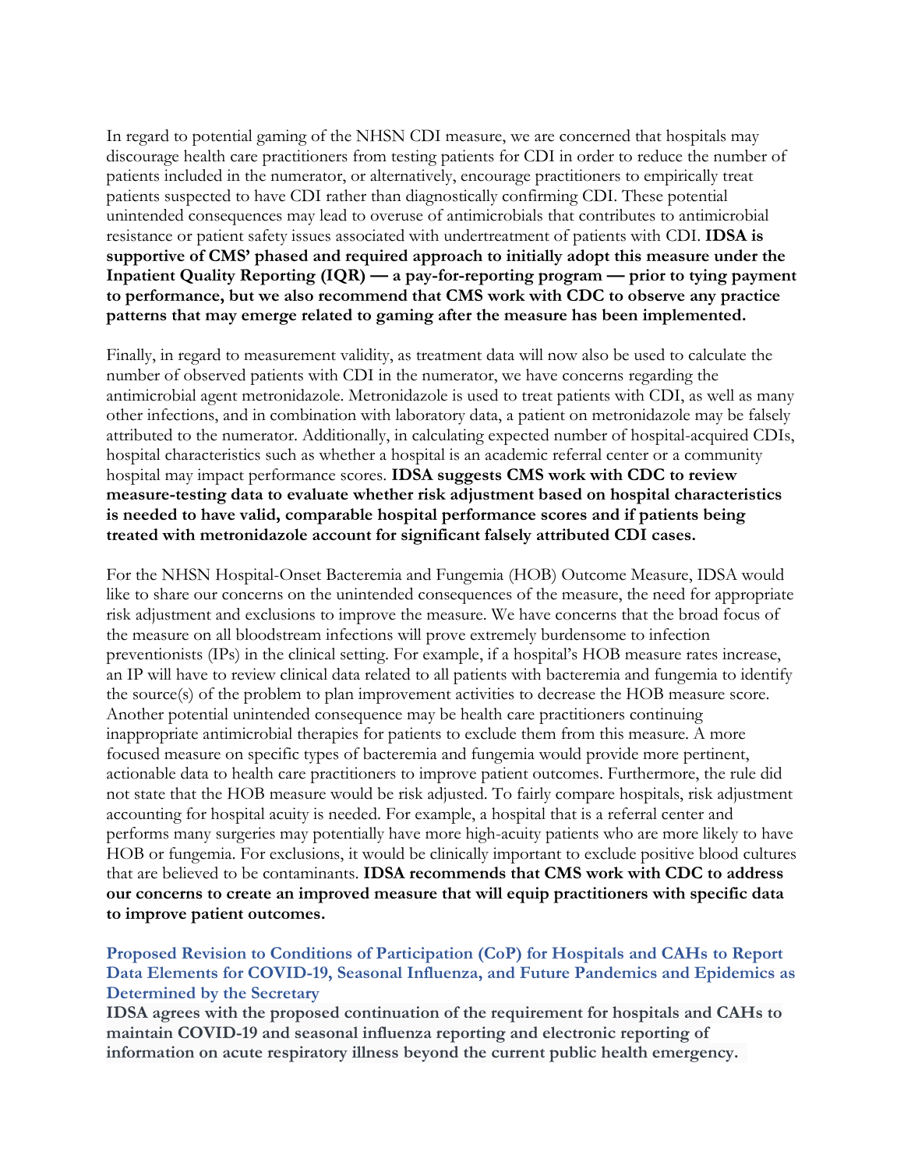In regard to potential gaming of the NHSN CDI measure, we are concerned that hospitals may discourage health care practitioners from testing patients for CDI in order to reduce the number of patients included in the numerator, or alternatively, encourage practitioners to empirically treat patients suspected to have CDI rather than diagnostically confirming CDI. These potential unintended consequences may lead to overuse of antimicrobials that contributes to antimicrobial resistance or patient safety issues associated with undertreatment of patients with CDI. **IDSA is supportive of CMS' phased and required approach to initially adopt this measure under the Inpatient Quality Reporting (IQR) — a pay-for-reporting program — prior to tying payment to performance, but we also recommend that CMS work with CDC to observe any practice patterns that may emerge related to gaming after the measure has been implemented.**

Finally, in regard to measurement validity, as treatment data will now also be used to calculate the number of observed patients with CDI in the numerator, we have concerns regarding the antimicrobial agent metronidazole. Metronidazole is used to treat patients with CDI, as well as many other infections, and in combination with laboratory data, a patient on metronidazole may be falsely attributed to the numerator. Additionally, in calculating expected number of hospital-acquired CDIs, hospital characteristics such as whether a hospital is an academic referral center or a community hospital may impact performance scores. **IDSA suggests CMS work with CDC to review measure-testing data to evaluate whether risk adjustment based on hospital characteristics is needed to have valid, comparable hospital performance scores and if patients being treated with metronidazole account for significant falsely attributed CDI cases.** 

For the NHSN Hospital-Onset Bacteremia and Fungemia (HOB) Outcome Measure, IDSA would like to share our concerns on the unintended consequences of the measure, the need for appropriate risk adjustment and exclusions to improve the measure. We have concerns that the broad focus of the measure on all bloodstream infections will prove extremely burdensome to infection preventionists (IPs) in the clinical setting. For example, if a hospital's HOB measure rates increase, an IP will have to review clinical data related to all patients with bacteremia and fungemia to identify the source(s) of the problem to plan improvement activities to decrease the HOB measure score. Another potential unintended consequence may be health care practitioners continuing inappropriate antimicrobial therapies for patients to exclude them from this measure. A more focused measure on specific types of bacteremia and fungemia would provide more pertinent, actionable data to health care practitioners to improve patient outcomes. Furthermore, the rule did not state that the HOB measure would be risk adjusted. To fairly compare hospitals, risk adjustment accounting for hospital acuity is needed. For example, a hospital that is a referral center and performs many surgeries may potentially have more high-acuity patients who are more likely to have HOB or fungemia. For exclusions, it would be clinically important to exclude positive blood cultures that are believed to be contaminants. **IDSA recommends that CMS work with CDC to address our concerns to create an improved measure that will equip practitioners with specific data to improve patient outcomes.**

# **Proposed Revision to Conditions of Participation (CoP) for Hospitals and CAHs to Report Data Elements for COVID-19, Seasonal Influenza, and Future Pandemics and Epidemics as Determined by the Secretary**

**IDSA agrees with the proposed continuation of the requirement for hospitals and CAHs to maintain COVID-19 and seasonal influenza reporting and electronic reporting of information on acute respiratory illness beyond the current public health emergency.**